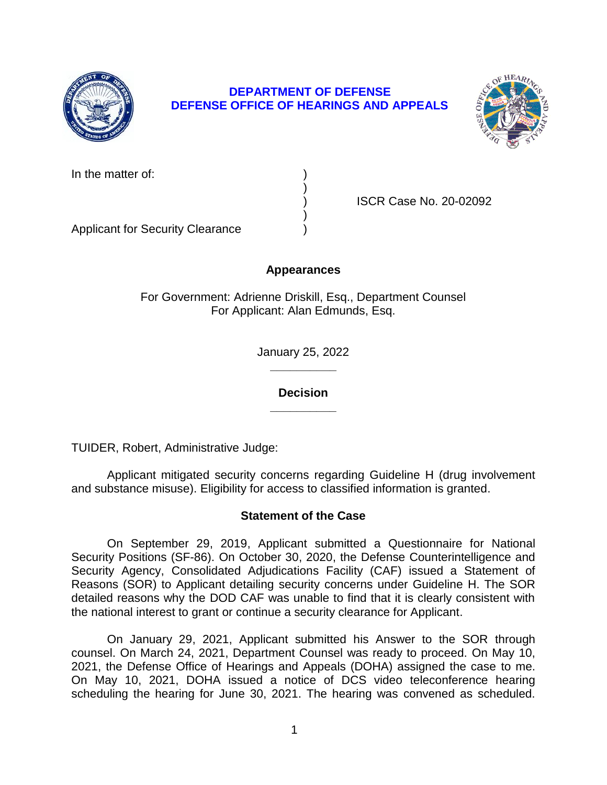

# **DEPARTMENT OF DEFENSE DEFENSE OFFICE OF HEARINGS AND APPEALS**



| In the matter of: |  |
|-------------------|--|
|-------------------|--|

) ISCR Case No. 20-02092

Applicant for Security Clearance )

# **Appearances**

)

)

For Government: Adrienne Driskill, Esq., Department Counsel For Applicant: Alan Edmunds, Esq.

> **\_\_\_\_\_\_\_\_\_\_**  January 25, 2022

> > **\_\_\_\_\_\_\_\_\_\_ Decision**

TUIDER, Robert, Administrative Judge:

Applicant mitigated security concerns regarding Guideline H (drug involvement and substance misuse). Eligibility for access to classified information is granted.

## **Statement of the Case**

 On September 29, 2019, Applicant submitted a Questionnaire for National Security Positions (SF-86). On October 30, 2020, the Defense Counterintelligence and Security Agency, Consolidated Adjudications Facility (CAF) issued a Statement of Reasons (SOR) to Applicant detailing security concerns under Guideline H. The SOR detailed reasons why the DOD CAF was unable to find that it is clearly consistent with the national interest to grant or continue a security clearance for Applicant.

 On January 29, 2021, Applicant submitted his Answer to the SOR through counsel. On March 24, 2021, Department Counsel was ready to proceed. On May 10, 2021, the Defense Office of Hearings and Appeals (DOHA) assigned the case to me. On May 10, 2021, DOHA issued a notice of DCS video teleconference hearing scheduling the hearing for June 30, 2021. The hearing was convened as scheduled.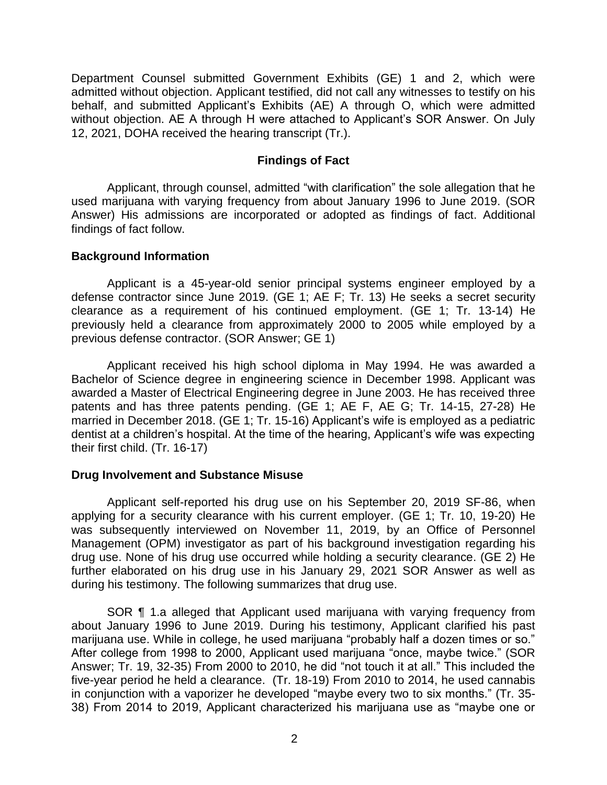Department Counsel submitted Government Exhibits (GE) 1 and 2, which were admitted without objection. Applicant testified, did not call any witnesses to testify on his behalf, and submitted Applicant's Exhibits (AE) A through O, which were admitted without objection. AE A through H were attached to Applicant's SOR Answer. On July 12, 2021, DOHA received the hearing transcript (Tr.).

## **Findings of Fact**

 Applicant, through counsel, admitted "with clarification" the sole allegation that he used marijuana with varying frequency from about January 1996 to June 2019. (SOR Answer) His admissions are incorporated or adopted as findings of fact. Additional findings of fact follow.

## **Background Information**

 Applicant is a 45-year-old senior principal systems engineer employed by a previously held a clearance from approximately 2000 to 2005 while employed by a defense contractor since June 2019. (GE 1; AE F; Tr. 13) He seeks a secret security clearance as a requirement of his continued employment. (GE 1; Tr. 13-14) He previous defense contractor. (SOR Answer; GE 1)

 Applicant received his high school diploma in May 1994. He was awarded a awarded a Master of Electrical Engineering degree in June 2003. He has received three patents and has three patents pending. (GE 1; AE F, AE G; Tr. 14-15, 27-28) He dentist at a children's hospital. At the time of the hearing, Applicant's wife was expecting Bachelor of Science degree in engineering science in December 1998. Applicant was married in December 2018. (GE 1; Tr. 15-16) Applicant's wife is employed as a pediatric their first child. (Tr. 16-17)

## **Drug Involvement and Substance Misuse**

 Applicant self-reported his drug use on his September 20, 2019 SF-86, when applying for a security clearance with his current employer. (GE 1; Tr. 10, 19-20) He was subsequently interviewed on November 11, 2019, by an Office of Personnel drug use. None of his drug use occurred while holding a security clearance. (GE 2) He further elaborated on his drug use in his January 29, 2021 SOR Answer as well as during his testimony. The following summarizes that drug use. Management (OPM) investigator as part of his background investigation regarding his

SOR ¶ 1.a alleged that Applicant used marijuana with varying frequency from about January 1996 to June 2019. During his testimony, Applicant clarified his past marijuana use. While in college, he used marijuana "probably half a dozen times or so." After college from 1998 to 2000, Applicant used marijuana "once, maybe twice." (SOR Answer; Tr. 19, 32-35) From 2000 to 2010, he did "not touch it at all." This included the five-year period he held a clearance. (Tr. 18-19) From 2010 to 2014, he used cannabis in conjunction with a vaporizer he developed "maybe every two to six months." (Tr. 35- 38) From 2014 to 2019, Applicant characterized his marijuana use as "maybe one or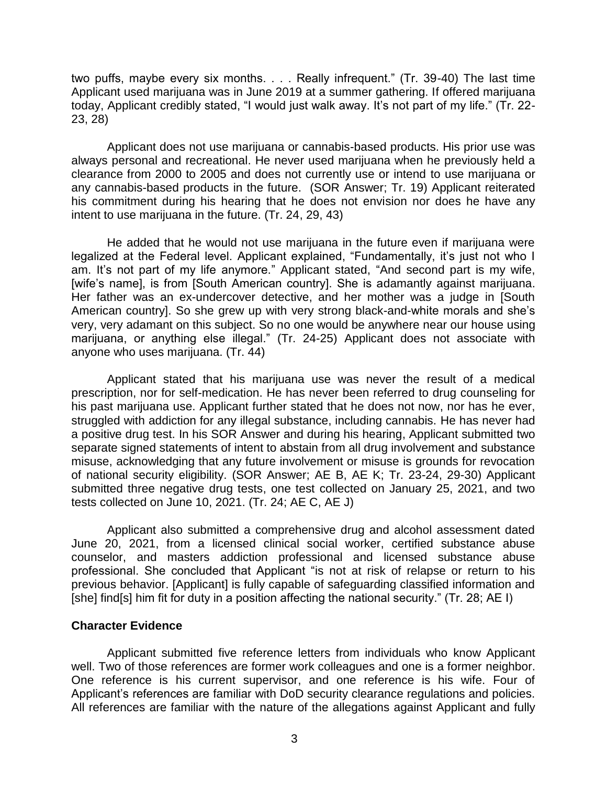two puffs, maybe every six months. . . . Really infrequent." (Tr. 39-40) The last time Applicant used marijuana was in June 2019 at a summer gathering. If offered marijuana today, Applicant credibly stated, "I would just walk away. It's not part of my life." (Tr. 22- 23, 28)

 Applicant does not use marijuana or cannabis-based products. His prior use was always personal and recreational. He never used marijuana when he previously held a clearance from 2000 to 2005 and does not currently use or intend to use marijuana or any cannabis-based products in the future. (SOR Answer; Tr. 19) Applicant reiterated his commitment during his hearing that he does not envision nor does he have any intent to use marijuana in the future. (Tr. 24, 29, 43)

 He added that he would not use marijuana in the future even if marijuana were legalized at the Federal level. Applicant explained, "Fundamentally, it's just not who I am. It's not part of my life anymore." Applicant stated, "And second part is my wife, [wife's name], is from [South American country]. She is adamantly against marijuana. Her father was an ex-undercover detective, and her mother was a judge in [South American country]. So she grew up with very strong black-and-white morals and she's marijuana, or anything else illegal." (Tr. 24-25) Applicant does not associate with very, very adamant on this subject. So no one would be anywhere near our house using anyone who uses marijuana. (Tr. 44)

 Applicant stated that his marijuana use was never the result of a medical prescription, nor for self-medication. He has never been referred to drug counseling for his past marijuana use. Applicant further stated that he does not now, nor has he ever, struggled with addiction for any illegal substance, including cannabis. He has never had a positive drug test. In his SOR Answer and during his hearing, Applicant submitted two misuse, acknowledging that any future involvement or misuse is grounds for revocation of national security eligibility. (SOR Answer; AE B, AE K; Tr. 23-24, 29-30) Applicant submitted three negative drug tests, one test collected on January 25, 2021, and two separate signed statements of intent to abstain from all drug involvement and substance tests collected on June 10, 2021. (Tr. 24; AE C, AE J)

 Applicant also submitted a comprehensive drug and alcohol assessment dated June 20, 2021, from a licensed clinical social worker, certified substance abuse counselor, and masters addiction professional and licensed substance abuse professional. She concluded that Applicant "is not at risk of relapse or return to his previous behavior. [Applicant] is fully capable of safeguarding classified information and [she] find[s] him fit for duty in a position affecting the national security." (Tr. 28; AE I)

## **Character Evidence**

 Applicant submitted five reference letters from individuals who know Applicant well. Two of those references are former work colleagues and one is a former neighbor. One reference is his current supervisor, and one reference is his wife. Four of Applicant's references are familiar with DoD security clearance regulations and policies. All references are familiar with the nature of the allegations against Applicant and fully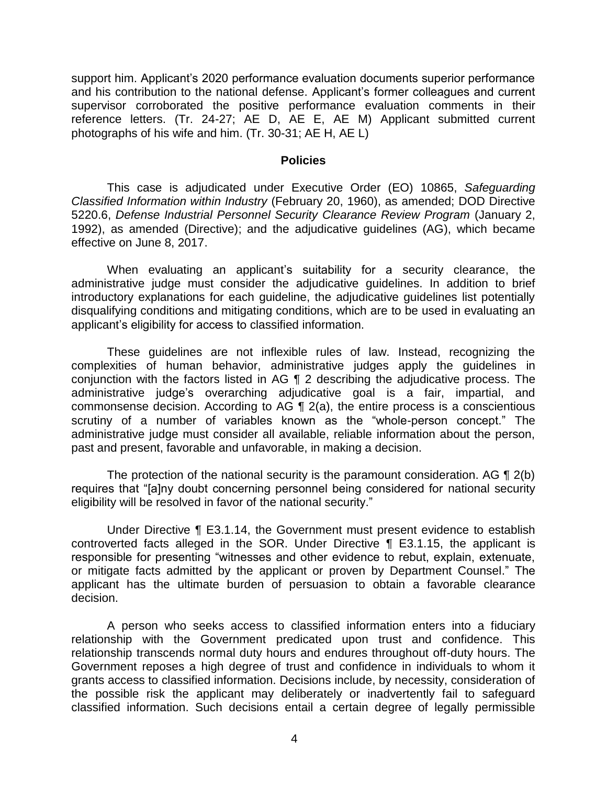support him. Applicant's 2020 performance evaluation documents superior performance and his contribution to the national defense. Applicant's former colleagues and current supervisor corroborated the positive performance evaluation comments in their reference letters. (Tr. 24-27; AE D, AE E, AE M) Applicant submitted current photographs of his wife and him. (Tr. 30-31; AE H, AE L)

#### **Policies**

5220.6, *Defense Industrial Personnel Security Clearance Review Program* (January 2, 1992), as amended (Directive); and the adjudicative guidelines (AG), which became This case is adjudicated under Executive Order (EO) 10865, *Safeguarding Classified Information within Industry* (February 20, 1960), as amended; DOD Directive effective on June 8, 2017.

 When evaluating an applicant's suitability for a security clearance, the administrative judge must consider the adjudicative guidelines. In addition to brief introductory explanations for each guideline, the adjudicative guidelines list potentially disqualifying conditions and mitigating conditions, which are to be used in evaluating an applicant's eligibility for access to classified information.

 These guidelines are not inflexible rules of law. Instead, recognizing the conjunction with the factors listed in AG ¶ 2 describing the adjudicative process. The commonsense decision. According to AG  $\P$  2(a), the entire process is a conscientious scrutiny of a number of variables known as the "whole-person concept." The administrative judge must consider all available, reliable information about the person, complexities of human behavior, administrative judges apply the guidelines in administrative judge's overarching adjudicative goal is a fair, impartial, and past and present, favorable and unfavorable, in making a decision.

The protection of the national security is the paramount consideration. AG  $\P$  2(b) eligibility will be resolved in favor of the national security." requires that "[a]ny doubt concerning personnel being considered for national security

 Under Directive ¶ E3.1.14, the Government must present evidence to establish controverted facts alleged in the SOR. Under Directive ¶ E3.1.15, the applicant is responsible for presenting "witnesses and other evidence to rebut, explain, extenuate, or mitigate facts admitted by the applicant or proven by Department Counsel." The applicant has the ultimate burden of persuasion to obtain a favorable clearance decision.

 A person who seeks access to classified information enters into a fiduciary relationship with the Government predicated upon trust and confidence. This relationship transcends normal duty hours and endures throughout off-duty hours. The Government reposes a high degree of trust and confidence in individuals to whom it grants access to classified information. Decisions include, by necessity, consideration of the possible risk the applicant may deliberately or inadvertently fail to safeguard classified information. Such decisions entail a certain degree of legally permissible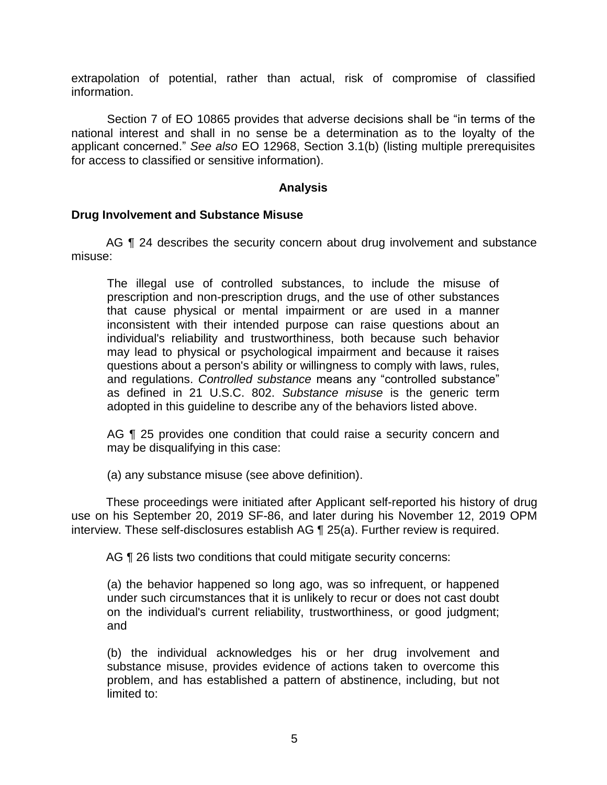extrapolation of potential, rather than actual, risk of compromise of classified information.

 Section 7 of EO 10865 provides that adverse decisions shall be "in terms of the national interest and shall in no sense be a determination as to the loyalty of the applicant concerned." *See also* EO 12968, Section 3.1(b) (listing multiple prerequisites for access to classified or sensitive information).

## **Analysis**

## **Drug Involvement and Substance Misuse**

AG  $\P$  24 describes the security concern about drug involvement and substance misuse:

The illegal use of controlled substances, to include the misuse of prescription and non-prescription drugs, and the use of other substances that cause physical or mental impairment or are used in a manner inconsistent with their intended purpose can raise questions about an individual's reliability and trustworthiness, both because such behavior may lead to physical or psychological impairment and because it raises questions about a person's ability or willingness to comply with laws, rules, and regulations. *Controlled substance* means any "controlled substance" as defined in 21 U.S.C. 802. *Substance misuse* is the generic term adopted in this guideline to describe any of the behaviors listed above.

AG ¶ 25 provides one condition that could raise a security concern and may be disqualifying in this case:

(a) any substance misuse (see above definition).

 These proceedings were initiated after Applicant self-reported his history of drug use on his September 20, 2019 SF-86, and later during his November 12, 2019 OPM interview. These self-disclosures establish AG ¶ 25(a). Further review is required.

AG **[1** 26 lists two conditions that could mitigate security concerns:

(a) the behavior happened so long ago, was so infrequent, or happened under such circumstances that it is unlikely to recur or does not cast doubt on the individual's current reliability, trustworthiness, or good judgment; and

 (b) the individual acknowledges his or her drug involvement and substance misuse, provides evidence of actions taken to overcome this problem, and has established a pattern of abstinence, including, but not limited to: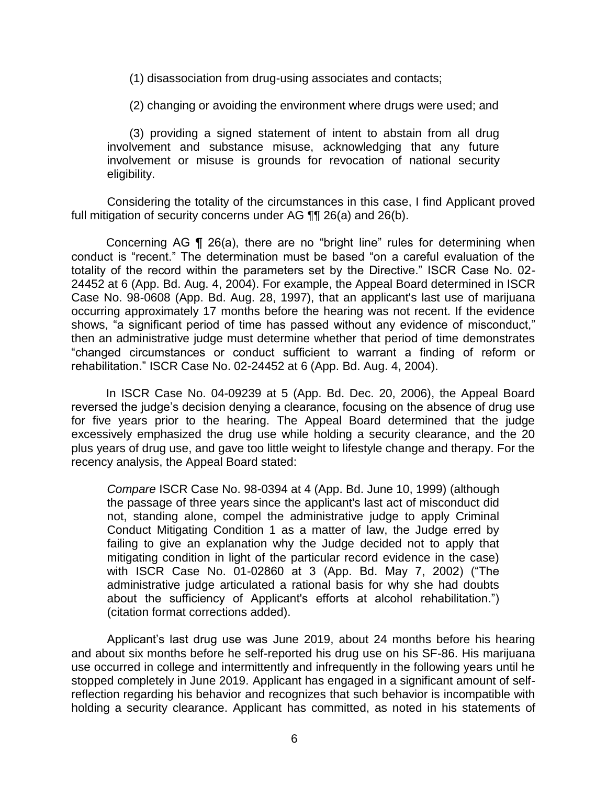(1) disassociation from drug-using associates and contacts;

(2) changing or avoiding the environment where drugs were used; and

 (3) providing a signed statement of intent to abstain from all drug involvement and substance misuse, acknowledging that any future involvement or misuse is grounds for revocation of national security eligibility.

 Considering the totality of the circumstances in this case, I find Applicant proved full mitigation of security concerns under AG ¶¶ 26(a) and 26(b).

Concerning AG ¶ 26(a), there are no "bright line" rules for determining when conduct is "recent." The determination must be based "on a careful evaluation of the totality of the record within the parameters set by the Directive." ISCR Case No. 02- 24452 at 6 (App. Bd. Aug. 4, 2004). For example, the Appeal Board determined in ISCR Case No. 98-0608 (App. Bd. Aug. 28, 1997), that an applicant's last use of marijuana occurring approximately 17 months before the hearing was not recent. If the evidence shows, "a significant period of time has passed without any evidence of misconduct," then an administrative judge must determine whether that period of time demonstrates "changed circumstances or conduct sufficient to warrant a finding of reform or rehabilitation." ISCR Case No. 02-24452 at 6 (App. Bd. Aug. 4, 2004).

In ISCR Case No. 04-09239 at 5 (App. Bd. Dec. 20, 2006), the Appeal Board reversed the judge's decision denying a clearance, focusing on the absence of drug use for five years prior to the hearing. The Appeal Board determined that the judge excessively emphasized the drug use while holding a security clearance, and the 20 plus years of drug use, and gave too little weight to lifestyle change and therapy. For the recency analysis, the Appeal Board stated:

*Compare* ISCR Case No. 98-0394 at 4 (App. Bd. June 10, 1999) (although the passage of three years since the applicant's last act of misconduct did not, standing alone, compel the administrative judge to apply Criminal Conduct Mitigating Condition 1 as a matter of law, the Judge erred by failing to give an explanation why the Judge decided not to apply that mitigating condition in light of the particular record evidence in the case) with ISCR Case No. 01-02860 at 3 (App. Bd. May 7, 2002) ("The administrative judge articulated a rational basis for why she had doubts about the sufficiency of Applicant's efforts at alcohol rehabilitation.") (citation format corrections added).

 Applicant's last drug use was June 2019, about 24 months before his hearing and about six months before he self-reported his drug use on his SF-86. His marijuana use occurred in college and intermittently and infrequently in the following years until he stopped completely in June 2019. Applicant has engaged in a significant amount of self- reflection regarding his behavior and recognizes that such behavior is incompatible with holding a security clearance. Applicant has committed, as noted in his statements of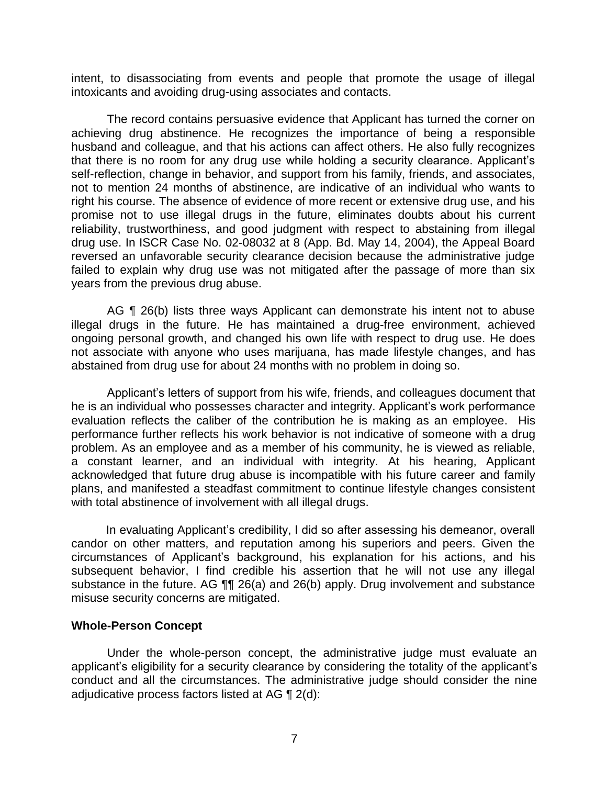intent, to disassociating from events and people that promote the usage of illegal intoxicants and avoiding drug-using associates and contacts.

 The record contains persuasive evidence that Applicant has turned the corner on achieving drug abstinence. He recognizes the importance of being a responsible husband and colleague, and that his actions can affect others. He also fully recognizes that there is no room for any drug use while holding a security clearance. Applicant's self-reflection, change in behavior, and support from his family, friends, and associates, not to mention 24 months of abstinence, are indicative of an individual who wants to right his course. The absence of evidence of more recent or extensive drug use, and his promise not to use illegal drugs in the future, eliminates doubts about his current reliability, trustworthiness, and good judgment with respect to abstaining from illegal drug use. In ISCR Case No. 02-08032 at 8 (App. Bd. May 14, 2004), the Appeal Board reversed an unfavorable security clearance decision because the administrative judge failed to explain why drug use was not mitigated after the passage of more than six years from the previous drug abuse.

AG ¶ 26(b) lists three ways Applicant can demonstrate his intent not to abuse illegal drugs in the future. He has maintained a drug-free environment, achieved ongoing personal growth, and changed his own life with respect to drug use. He does not associate with anyone who uses marijuana, has made lifestyle changes, and has abstained from drug use for about 24 months with no problem in doing so.

 Applicant's letters of support from his wife, friends, and colleagues document that he is an individual who possesses character and integrity. Applicant's work performance evaluation reflects the caliber of the contribution he is making as an employee. His performance further reflects his work behavior is not indicative of someone with a drug problem. As an employee and as a member of his community, he is viewed as reliable, a constant learner, and an individual with integrity. At his hearing, Applicant acknowledged that future drug abuse is incompatible with his future career and family plans, and manifested a steadfast commitment to continue lifestyle changes consistent with total abstinence of involvement with all illegal drugs.

 In evaluating Applicant's credibility, I did so after assessing his demeanor, overall candor on other matters, and reputation among his superiors and peers. Given the circumstances of Applicant's background, his explanation for his actions, and his subsequent behavior, I find credible his assertion that he will not use any illegal substance in the future. AG  $\P$  26(a) and 26(b) apply. Drug involvement and substance misuse security concerns are mitigated.

## **Whole-Person Concept**

 Under the whole-person concept, the administrative judge must evaluate an applicant's eligibility for a security clearance by considering the totality of the applicant's conduct and all the circumstances. The administrative judge should consider the nine adjudicative process factors listed at AG ¶ 2(d):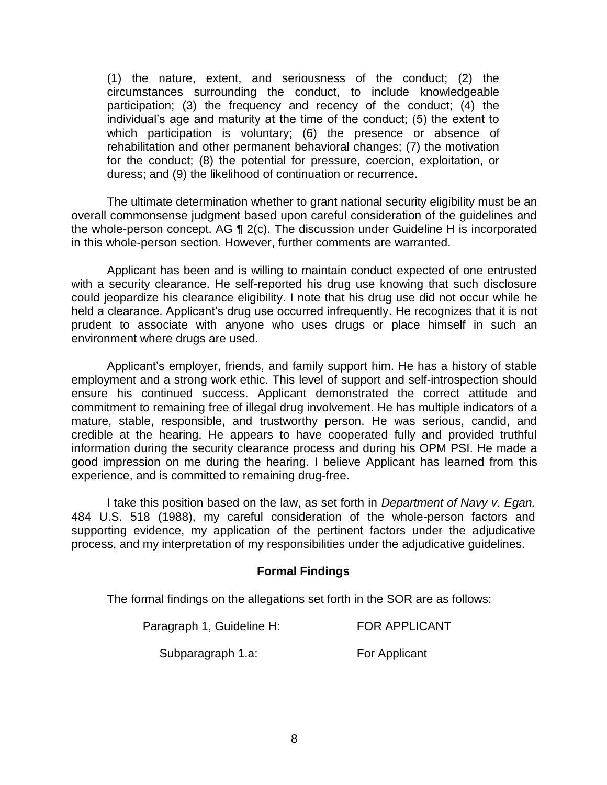(1) the nature, extent, and seriousness of the conduct; (2) the circumstances surrounding the conduct, to include knowledgeable participation; (3) the frequency and recency of the conduct; (4) the individual's age and maturity at the time of the conduct; (5) the extent to which participation is voluntary; (6) the presence or absence of rehabilitation and other permanent behavioral changes; (7) the motivation for the conduct; (8) the potential for pressure, coercion, exploitation, or duress; and (9) the likelihood of continuation or recurrence.

 overall commonsense judgment based upon careful consideration of the guidelines and the whole-person concept. AG ¶ 2(c). The discussion under Guideline H is incorporated The ultimate determination whether to grant national security eligibility must be an in this whole-person section. However, further comments are warranted.

 Applicant has been and is willing to maintain conduct expected of one entrusted with a security clearance. He self-reported his drug use knowing that such disclosure could jeopardize his clearance eligibility. I note that his drug use did not occur while he held a clearance. Applicant's drug use occurred infrequently. He recognizes that it is not prudent to associate with anyone who uses drugs or place himself in such an environment where drugs are used.

 Applicant's employer, friends, and family support him. He has a history of stable employment and a strong work ethic. This level of support and self-introspection should ensure his continued success. Applicant demonstrated the correct attitude and commitment to remaining free of illegal drug involvement. He has multiple indicators of a mature, stable, responsible, and trustworthy person. He was serious, candid, and credible at the hearing. He appears to have cooperated fully and provided truthful information during the security clearance process and during his OPM PSI. He made a good impression on me during the hearing. I believe Applicant has learned from this experience, and is committed to remaining drug-free.

 experience, and is committed to remaining drug-free. I take this position based on the law, as set forth in *Department of Navy v. Egan,*  484 U.S. 518 (1988), my careful consideration of the whole-person factors and supporting evidence, my application of the pertinent factors under the adjudicative process, and my interpretation of my responsibilities under the adjudicative guidelines.

## **Formal Findings**

The formal findings on the allegations set forth in the SOR are as follows:

| Paragraph 1, Guideline H: | <b>FOR APPLICANT</b> |
|---------------------------|----------------------|
|---------------------------|----------------------|

Subparagraph 1.a:

For Applicant